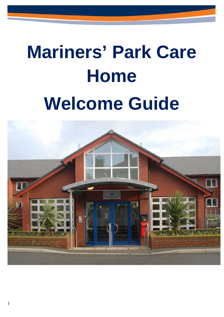# **Mariners' Park Care Home Welcome Guide**

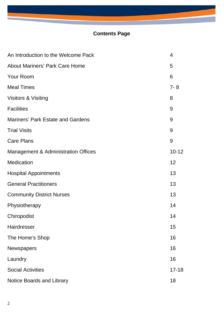# **Contents Page**

| An Introduction to the Welcome Pack      | $\overline{4}$ |
|------------------------------------------|----------------|
| <b>About Mariners' Park Care Home</b>    | 5              |
| <b>Your Room</b>                         | 6              |
| <b>Meal Times</b>                        | $7 - 8$        |
| Visitors & Visiting                      | 8              |
| <b>Facilities</b>                        | 9              |
| <b>Mariners' Park Estate and Gardens</b> | 9              |
| <b>Trial Visits</b>                      | 9              |
| <b>Care Plans</b>                        | 9              |
| Management & Administration Offices      | $10 - 12$      |
| Medication                               | 12             |
| <b>Hospital Appointments</b>             | 13             |
| <b>General Practitioners</b>             | 13             |
| <b>Community District Nurses</b>         | 13             |
| Physiotherapy                            | 14             |
| Chiropodist                              | 14             |
| Hairdresser                              | 15             |
| The Home's Shop                          | 16             |
| <b>Newspapers</b>                        | 16             |
| Laundry                                  | 16             |
| <b>Social Activities</b>                 | $17 - 18$      |
| <b>Notice Boards and Library</b>         | 18             |

<u> Tanzania (h. 1888).</u>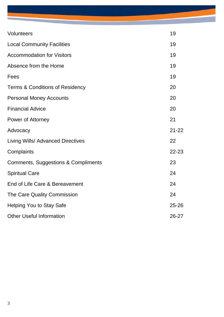| Volunteers                                 | 19        |
|--------------------------------------------|-----------|
| <b>Local Community Facilities</b>          | 19        |
| <b>Accommodation for Visitors</b>          | 19        |
| Absence from the Home                      | 19        |
| Fees                                       | 19        |
| <b>Terms &amp; Conditions of Residency</b> | 20        |
| <b>Personal Money Accounts</b>             | 20        |
| <b>Financial Advice</b>                    | 20        |
| Power of Attorney                          | 21        |
| Advocacy                                   | $21 - 22$ |
| <b>Living Wills/ Advanced Directives</b>   | 22        |
| Complaints                                 | $22 - 23$ |
| Comments, Suggestions & Compliments        | 23        |
| <b>Spiritual Care</b>                      | 24        |
| End of Life Care & Bereavement             | 24        |
| The Care Quality Commission                | 24        |
| Helping You to Stay Safe                   | $25 - 26$ |
| <b>Other Useful Information</b>            | 26-27     |

a sa mga kalawang mga kalawang sa pangalang ng pangalang ng mga pangalang ng pangalang ng pangalang ng mga pan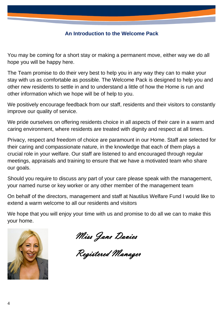## **An Introduction to the Welcome Pack**

You may be coming for a short stay or making a permanent move, either way we do all hope you will be happy here.

The Team promise to do their very best to help you in any way they can to make your stay with us as comfortable as possible. The Welcome Pack is designed to help you and other new residents to settle in and to understand a little of how the Home is run and other information which we hope will be of help to you.

We positively encourage feedback from our staff, residents and their visitors to constantly improve our quality of service.

We pride ourselves on offering residents choice in all aspects of their care in a warm and caring environment, where residents are treated with dignity and respect at all times.

Privacy, respect and freedom of choice are paramount in our Home. Staff are selected for their caring and compassionate nature, in the knowledge that each of them plays a crucial role in your welfare. Our staff are listened to and encouraged through regular meetings, appraisals and training to ensure that we have a motivated team who share our goals.

Should you require to discuss any part of your care please speak with the management, your named nurse or key worker or any other member of the management team

On behalf of the directors, management and staff at Nautilus Welfare Fund I would like to extend a warm welcome to all our residents and visitors

We hope that you will enjoy your time with us and promise to do all we can to make this your home.



Miss Jane Davies

Registered Manager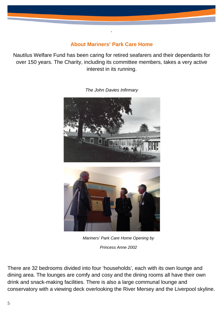# **About Mariners' Park Care Home**

`

Nautilus Welfare Fund has been caring for retired seafarers and their dependants for over 150 years. The Charity, including its committee members, takes a very active interest in its running.



*The John Davies Infirmary*



*Mariners' Park Care Home Opening by Princess Anne 2002*

There are 32 bedrooms divided into four 'households', each with its own lounge and dining area. The lounges are comfy and cosy and the dining rooms all have their own drink and snack-making facilities. There is also a large communal lounge and conservatory with a viewing deck overlooking the River Mersey and the Liverpool skyline.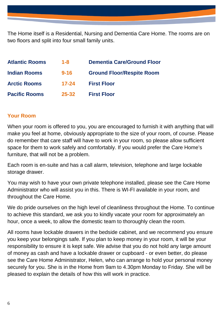The Home itself is a Residential, Nursing and Dementia Care Home. The rooms are on two floors and split into four small family units.

| <b>Atlantic Rooms</b> | $1 - 8$   | <b>Dementia Care/Ground Floor</b> |
|-----------------------|-----------|-----------------------------------|
| <b>Indian Rooms</b>   | $9 - 16$  | <b>Ground Floor/Respite Room</b>  |
| <b>Arctic Rooms</b>   | $17 - 24$ | <b>First Floor</b>                |
| <b>Pacific Rooms</b>  | $25 - 32$ | <b>First Floor</b>                |

#### **Your Room**

When your room is offered to you, you are encouraged to furnish it with anything that will make you feel at home, obviously appropriate to the size of your room, of course. Please do remember that care staff will have to work in your room, so please allow sufficient space for them to work safely and comfortably. If you would prefer the Care Home's furniture, that will not be a problem.

Each room is en-suite and has a call alarm, television, telephone and large lockable storage drawer.

You may wish to have your own private telephone installed, please see the Care Home Administrator who will assist you in this. There is WI-FI available in your room, and throughout the Care Home.

We do pride ourselves on the high level of cleanliness throughout the Home. To continue to achieve this standard, we ask you to kindly vacate your room for approximately an hour, once a week, to allow the domestic team to thoroughly clean the room.

All rooms have lockable drawers in the bedside cabinet, and we recommend you ensure you keep your belongings safe. If you plan to keep money in your room, it will be your responsibility to ensure it is kept safe. We advise that you do not hold any large amount of money as cash and have a lockable drawer or cupboard - or even better, do please see the Care Home Administrator, Helen, who can arrange to hold your personal money securely for you. She is in the Home from 9am to 4.30pm Monday to Friday. She will be pleased to explain the details of how this will work in practice.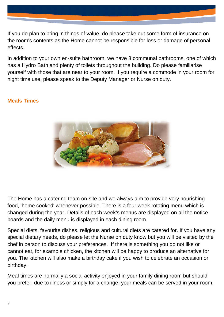If you do plan to bring in things of value, do please take out some form of insurance on the room's contents as the Home cannot be responsible for loss or damage of personal effects.

In addition to your own en-suite bathroom, we have 3 communal bathrooms, one of which has a Hydro Bath and plenty of toilets throughout the building. Do please familiarise yourself with those that are near to your room. If you require a commode in your room for night time use, please speak to the Deputy Manager or Nurse on duty.

#### **Meals Times**



The Home has a catering team on-site and we always aim to provide very nourishing food, 'home cooked' whenever possible. There is a four week rotating menu which is changed during the year. Details of each week's menus are displayed on all the notice boards and the daily menu is displayed in each dining room.

Special diets, favourite dishes, religious and cultural diets are catered for. If you have any special dietary needs, do please let the Nurse on duty know but you will be visited by the chef in person to discuss your preferences. If there is something you do not like or cannot eat, for example chicken, the kitchen will be happy to produce an alternative for you. The kitchen will also make a birthday cake if you wish to celebrate an occasion or birthday.

Meal times are normally a social activity enjoyed in your family dining room but should you prefer, due to illness or simply for a change, your meals can be served in your room.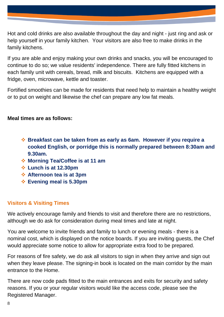Hot and cold drinks are also available throughout the day and night - just ring and ask or help yourself in your family kitchen. Your visitors are also free to make drinks in the family kitchens.

If you are able and enjoy making your own drinks and snacks, you will be encouraged to continue to do so; we value residents' independence. There are fully fitted kitchens in each family unit with cereals, bread, milk and biscuits. Kitchens are equipped with a fridge, oven, microwave, kettle and toaster.

Fortified smoothies can be made for residents that need help to maintain a healthy weight or to put on weight and likewise the chef can prepare any low fat meals.

## **Meal times are as follows:**

- **Breakfast can be taken from as early as 6am. However if you require a cooked English, or porridge this is normally prepared between 8:30am and 9.30am.**
- **Morning Tea/Coffee is at 11 am**
- **Lunch is at 12.30pm**
- **↑ Afternoon tea is at 3pm**
- **Evening meal is 5.30pm**

## **Visitors & Visiting Times**

We actively encourage family and friends to visit and therefore there are no restrictions, although we do ask for consideration during meal times and late at night.

You are welcome to invite friends and family to lunch or evening meals - there is a nominal cost, which is displayed on the notice boards. If you are inviting guests, the Chef would appreciate some notice to allow for appropriate extra food to be prepared.

For reasons of fire safety, we do ask all visitors to sign in when they arrive and sign out when they leave please. The signing-in book is located on the main corridor by the main entrance to the Home.

There are now code pads fitted to the main entrances and exits for security and safety reasons. If you or your regular visitors would like the access code, please see the Registered Manager.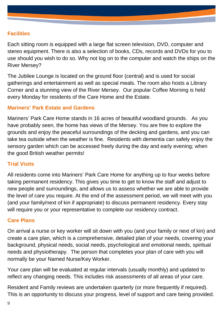## **Facilities**

Each sitting room is equipped with a large flat screen television, DVD, computer and stereo equipment. There is also a selection of books, CDs, records and DVDs for you to use should you wish to do so. Why not log on to the computer and watch the ships on the River Mersey?

The Jubilee Lounge is located on the ground floor (central) and is used for social gatherings and entertainment as well as special meals. The room also hosts a Library Corner and a stunning view of the River Mersey. Our popular Coffee Morning is held every Monday for residents of the Care Home and the Estate.

## **Mariners' Park Estate and Gardens**

Mariners' Park Care Home stands in 16 acres of beautiful woodland grounds. As you have probably seen, the home has views of the Mersey. You are free to explore the grounds and enjoy the peaceful surroundings of the decking and gardens, and you can take tea outside when the weather is fine. Residents with dementia can safely enjoy the sensory garden which can be accessed freely during the day and early evening; when the good British weather permits!

## **Trial Visits**

All residents come into Mariners' Park Care Home for anything up to four weeks before taking permanent residency. This gives you time to get to know the staff and adjust to new people and surroundings, and allows us to assess whether we are able to provide the level of care you require. At the end of the assessment period, we will meet with you (and your family/next of kin if appropriate) to discuss permanent residency. Every stay will require you or your representative to complete our residency contract.

## **Care Plans**

On arrival a nurse or key worker will sit down with you (and your family or next of kin) and create a care plan, which is a comprehensive, detailed plan of your needs, covering your background, physical needs, social needs, psychological and emotional needs, spiritual needs and physiotherapy. The person that completes your plan of care with you will normally be your Named Nurse/Key Worker.

Your care plan will be evaluated at regular intervals (usually monthly) and updated to reflect any changing needs. This includes risk assessments of all areas of your care.

Resident and Family reviews are undertaken quarterly (or more frequently if required). This is an opportunity to discuss your progress, level of support and care being provided.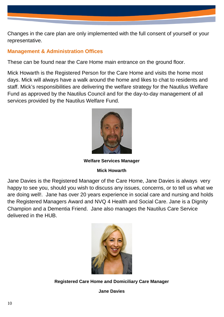Changes in the care plan are only implemented with the full consent of yourself or your representative.

# **Management & Administration Offices**

These can be found near the Care Home main entrance on the ground floor.

Mick Howarth is the Registered Person for the Care Home and visits the home most days. Mick will always have a walk around the home and likes to chat to residents and staff. Mick's responsibilities are delivering the welfare strategy for the Nautilus Welfare Fund as approved by the Nautilus Council and for the day-to-day management of all services provided by the Nautilus Welfare Fund.



**Welfare Services Manager**

**Mick Howarth**

Jane Davies is the Registered Manager of the Care Home, Jane Davies is always very happy to see you, should you wish to discuss any issues, concerns, or to tell us what we are doing well!. Jane has over 20 years experience in social care and nursing and holds the Registered Managers Award and NVQ 4 Health and Social Care. Jane is a Dignity Champion and a Dementia Friend. Jane also manages the Nautilus Care Service delivered in the HUB.



**Registered Care Home and Domiciliary Care Manager**

**Jane Davies**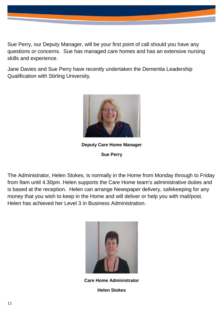

Sue Perry, our Deputy Manager, will be your first point of call should you have any questions or concerns. Sue has managed care homes and has an extensive nursing skills and experience.

Jane Davies and Sue Perry have recently undertaken the Dementia Leadership Qualification with Stirling University.



**Deputy Care Home Manager Sue Perry**

The Administrator, Helen Stokes, is normally in the Home from Monday through to Friday from 9am until 4.30pm. Helen supports the Care Home team's administrative duties and is based at the reception. Helen can arrange Newspaper delivery, safekeeping for any money that you wish to keep in the Home and will deliver or help you with mail/post. Helen has achieved her Level 3 in Business Administration.



**Care Home Administrator Helen Stokes**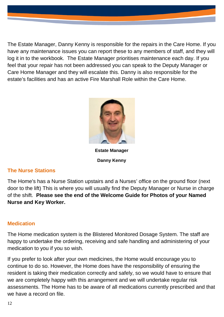The Estate Manager, Danny Kenny is responsible for the repairs in the Care Home. If you have any maintenance issues you can report these to any members of staff, and they will log it in to the workbook. The Estate Manager prioritises maintenance each day. If you feel that your repair has not been addressed you can speak to the Deputy Manager or Care Home Manager and they will escalate this. Danny is also responsible for the estate's facilities and has an active Fire Marshall Role within the Care Home.



**Estate Manager Danny Kenny**

# **The Nurse Stations**

The Home's has a Nurse Station upstairs and a Nurses' office on the ground floor (next door to the lift) This is where you will usually find the Deputy Manager or Nurse in charge of the shift. **Please see the end of the Welcome Guide for Photos of your Named Nurse and Key Worker.**

## **Medication**

The Home medication system is the Blistered Monitored Dosage System. The staff are happy to undertake the ordering, receiving and safe handling and administering of your medication to you if you so wish.

If you prefer to look after your own medicines, the Home would encourage you to continue to do so. However, the Home does have the responsibility of ensuring the resident is taking their medication correctly and safely, so we would have to ensure that we are completely happy with this arrangement and we will undertake regular risk assessments. The Home has to be aware of all medications currently prescribed and that we have a record on file.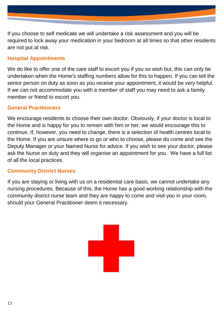If you choose to self medicate we will undertake a risk assessment and you will be required to lock away your medication in your bedroom at all times so that other residents are not put at risk.

## **Hospital Appointments**

We do like to offer one of the care staff to escort you if you so wish but, this can only be undertaken when the Home's staffing numbers allow for this to happen. If you can tell the senior person on duty as soon as you receive your appointment, it would be very helpful. If we can not accommodate you with a member of staff you may need to ask a family member or friend to escort you.

## **General Practitioners**

We encourage residents to choose their own doctor. Obviously, if your doctor is local to the Home and is happy for you to remain with him or her; we would encourage this to continue. If, however, you need to change, there is a selection of health centres local to the Home. If you are unsure where to go or who to choose, please do come and see the Deputy Manager or your Named Nurse for advice. If you wish to see your doctor, please ask the Nurse on duty and they will organise an appointment for you. We have a full list of all the local practices.

## **Community District Nurses**

If you are staying or living with us on a residential care basis, we cannot undertake any nursing procedures. Because of this, the Home has a good working relationship with the community district nurse team and they are happy to come and visit you in your room, should your General Practitioner deem it necessary.

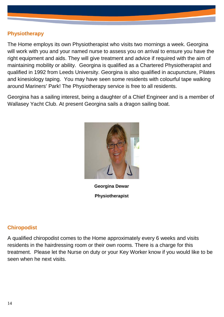## **Physiotherapy**

The Home employs its own Physiotherapist who visits two mornings a week. Georgina will work with you and your named nurse to assess you on arrival to ensure you have the right equipment and aids. They will give treatment and advice if required with the aim of maintaining mobility or ability. Georgina is qualified as a Chartered Physiotherapist and qualified in 1992 from Leeds University. Georgina is also qualified in acupuncture, Pilates and kinesiology taping. You may have seen some residents with colourful tape walking around Mariners' Park! The Physiotherapy service is free to all residents.

Georgina has a sailing interest, being a daughter of a Chief Engineer and is a member of Wallasey Yacht Club. At present Georgina sails a dragon sailing boat.



**Georgina Dewar Physiotherapist**

## **Chiropodist**

A qualified chiropodist comes to the Home approximately every 6 weeks and visits residents in the hairdressing room or their own rooms. There is a charge for this treatment. Please let the Nurse on duty or your Key Worker know if you would like to be seen when he next visits.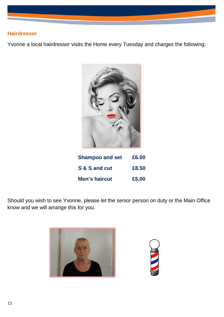## **Hairdresser**

Yvonne a local hairdresser visits the Home every Tuesday and charges the following:



| <b>Shampoo and set</b> | £6.00 |
|------------------------|-------|
| S & S and cut          | £8.50 |
| <b>Men's haircut</b>   | £5.00 |

Should you wish to see Yvonne, please let the senior person on duty or the Main Office know and we will arrange this for you.



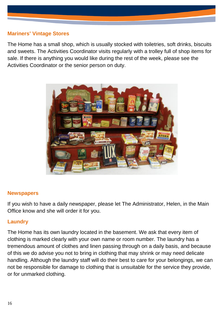## **Mariners' Vintage Stores**

The Home has a small shop, which is usually stocked with toiletries, soft drinks, biscuits and sweets. The Activities Coordinator visits regularly with a trolley full of shop items for sale. If there is anything you would like during the rest of the week, please see the Activities Coordinator or the senior person on duty.



#### **Newspapers**

If you wish to have a daily newspaper, please let The Administrator, Helen, in the Main Office know and she will order it for you.

#### **Laundry**

The Home has its own laundry located in the basement. We ask that every item of clothing is marked clearly with your own name or room number. The laundry has a tremendous amount of clothes and linen passing through on a daily basis, and because of this we do advise you not to bring in clothing that may shrink or may need delicate handling. Although the laundry staff will do their best to care for your belongings, we can not be responsible for damage to clothing that is unsuitable for the service they provide, or for unmarked clothing.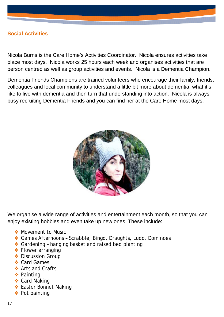# **Social Activities**

Nicola Burns is the Care Home's Activities Coordinator. Nicola ensures activities take place most days. Nicola works 25 hours each week and organises activities that are person centred as well as group activities and events. Nicola is a Dementia Champion.

Dementia Friends Champions are trained volunteers who encourage their family, friends, colleagues and local community to understand a little bit more about dementia, what it's like to live with dementia and then turn that understanding into action. Nicola is always busy recruiting Dementia Friends and you can find her at the Care Home most days.



We organise a wide range of activities and entertainment each month, so that you can enjoy existing hobbies and even take up new ones! These include:

- **◆ Movement to Music**
- Games Afternoons Scrabble, Bingo, Draughts, Ludo, Dominoes
- ◆ Gardening hanging basket and raised bed planting
- **Flower arranging**
- **❖** Discussion Group
- ❖ Card Games
- **❖ Arts and Crafts**
- **❖ Painting**
- ❖ Card Making
- Easter Bonnet Making
- ❖ Pot painting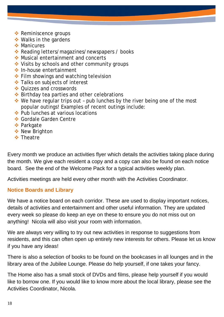- **Reminiscence groups**
- ❖ Walks in the gardens
- **◆ Manicures**
- Reading letters/magazines/newspapers / books
- ◆ Musical entertainment and concerts
- ❖ Visits by schools and other community groups
- In-house entertainment
- $\div$  Film showings and watching television
- $\div$  Talks on subjects of interest
- **❖** Quizzes and crosswords
- $\cdot$  Birthday tea parties and other celebrations
- $\cdot$  We have regular trips out pub lunches by the river being one of the most popular outings! Examples of recent outings include:
- ❖ Pub lunches at various locations
- **❖ Gordale Garden Centre**
- **❖ Parkgate**
- **❖ New Brighton**
- **❖ Theatre**

Every month we produce an activities flyer which details the activities taking place during the month. We give each resident a copy and a copy can also be found on each notice board. See the end of the Welcome Pack for a typical activities weekly plan.

Activities meetings are held every other month with the Activities Coordinator.

## **Notice Boards and Library**

We have a notice board on each corridor. These are used to display important notices, details of activities and entertainment and other useful information. They are updated every week so please do keep an eye on these to ensure you do not miss out on anything! Nicola will also visit your room with information.

We are always very willing to try out new activities in response to suggestions from residents, and this can often open up entirely new interests for others. Please let us know if you have any ideas!

There is also a selection of books to be found on the bookcases in all lounges and in the library area of the Jubilee Lounge. Please do help yourself, if one takes your fancy.

The Home also has a small stock of DVDs and films, please help yourself if you would like to borrow one. If you would like to know more about the local library, please see the Activities Coordinator, Nicola.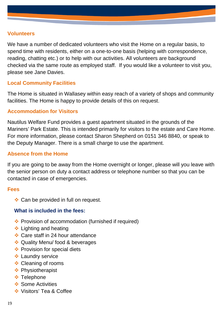## **Volunteers**

We have a number of dedicated volunteers who visit the Home on a regular basis, to spend time with residents, either on a one-to-one basis (helping with correspondence, reading, chatting etc.) or to help with our activities. All volunteers are background checked via the same route as employed staff. If you would like a volunteer to visit you, please see Jane Davies.

## **Local Community Facilities**

The Home is situated in Wallasey within easy reach of a variety of shops and community facilities. The Home is happy to provide details of this on request.

#### **Accommodation for Visitors**

Nautilus Welfare Fund provides a guest apartment situated in the grounds of the Mariners' Park Estate. This is intended primarily for visitors to the estate and Care Home. For more information, please contact Sharon Shepherd on 0151 346 8840, or speak to the Deputy Manager. There is a small charge to use the apartment.

## **Absence from the Home**

If you are going to be away from the Home overnight or longer, please will you leave with the senior person on duty a contact address or telephone number so that you can be contacted in case of emergencies.

#### **Fees**

**♦ Can be provided in full on request.** 

## **What is included in the fees:**

- Provision of accommodation (furnished if required)
- ❖ Lighting and heating
- ❖ Care staff in 24 hour attendance
- ❖ Quality Menu/ food & beverages
- ❖ Provision for special diets
- **❖ Laundry service**
- **❖ Cleaning of rooms**
- ❖ Physiotherapist
- **❖ Telephone**
- ❖ Some Activities
- ❖ Visitors' Tea & Coffee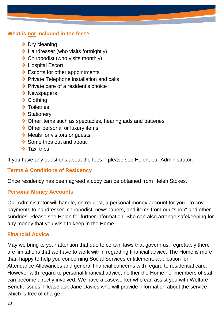## **What is not included in the fees?**

- ❖ Dry cleaning
- **← Hairdresser (who visits fortnightly)**
- **❖ Chiropodist (who visits monthly)**
- **❖ Hospital Escort**
- $\div$  Escorts for other appointments
- **◆ Private Telephone installation and calls**
- **Ex** Private care of a resident's choice
- ❖ Newspapers
- **❖ Clothing**
- **❖ Toiletries**
- ❖ Stationery
- Other items such as spectacles, hearing aids and batteries
- **♦ Other personal or luxury items**
- ❖ Meals for visitors or guests
- $\div$  Some trips out and about
- **❖ Taxi trips**

If you have any questions about the fees – please see Helen, our Administrator.

# **Terms & Conditions of Residency**

Once residency has been agreed a copy can be obtained from Helen Stokes.

## **Personal Money Accounts**

Our Administrator will handle, on request, a personal money account for you - to cover payments to hairdresser, chiropodist, newspapers, and items from our "shop" and other sundries. Please see Helen for further information. She can also arrange safekeeping for any money that you wish to keep in the Home.

# **Financial Advice**

May we bring to your attention that due to certain laws that govern us, regrettably there are limitations that we have to work within regarding financial advice. The Home is more than happy to help you concerning Social Services entitlement, application for Attendance Allowances and general financial concerns with regard to residential care. However with regard to personal financial advice, neither the Home nor members of staff can become directly involved. We have a caseworker who can assist you with Welfare Benefit issues. Please ask Jane Davies who will provide information about the service, which is free of charge.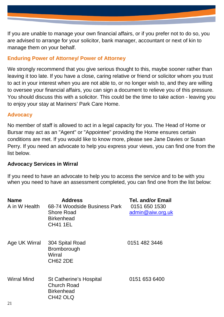If you are unable to manage your own financial affairs, or if you prefer not to do so, you are advised to arrange for your solicitor, bank manager, accountant or next of kin to manage them on your behalf.

#### **Enduring Power of Attorney/ Power of Attorney**

We strongly recommend that you give serious thought to this, maybe sooner rather than leaving it too late. If you have a close, caring relative or friend or solicitor whom you trust to act in your interest when you are not able to, or no longer wish to, and they are willing to oversee your financial affairs, you can sign a document to relieve you of this pressure. You should discuss this with a solicitor. This could be the time to take action - leaving you to enjoy your stay at Mariners' Park Care Home.

#### **Advocacy**

No member of staff is allowed to act in a legal capacity for you. The Head of Home or Bursar may act as an "Agent" or "Appointee" providing the Home ensures certain conditions are met. If you would like to know more, please see Jane Davies or Susan Perry. If you need an advocate to help you express your views, you can find one from the list below.

## **Advocacy Services in Wirral**

If you need to have an advocate to help you to access the service and to be with you when you need to have an assessment completed, you can find one from the list below:

| <b>Name</b><br>A in W Health        | <b>Address</b><br>68-74 Woodside Business Park<br><b>Shore Road</b><br><b>Birkenhead</b><br><b>CH41 1EL</b> | <b>Tel. and/or Email</b><br>0151 650 1530<br>admin@aiw.org.uk |
|-------------------------------------|-------------------------------------------------------------------------------------------------------------|---------------------------------------------------------------|
| Age UK Wirral                       | 304 Spital Road<br><b>Bromborough</b><br>Wirral<br><b>CH62 2DE</b>                                          | 0151 482 3446                                                 |
| <b>Wirral Mind</b><br>$\sim$ $\sim$ | <b>St Catherine's Hospital</b><br><b>Church Road</b><br><b>Birkenhead</b><br>CH42 OLQ                       | 0151 653 6400                                                 |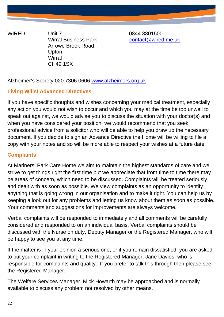WIRED Unit 7 0844 8801500 Arrowe Brook Road Upton **Wirral** CH49 1SX

Wirral Business Park [contact@wired.me.uk](mailto:contact@wired.me.uk)

Alzheimer's Society 020 7306 0606 [www.alzheimers.org.uk](http://www.alzheimers.org.uk/)

# **Living Wills/ Advanced Directives**

If you have specific thoughts and wishes concerning your medical treatment, especially any action you would not wish to occur and which you may at the time be too unwell to speak out against, we would advise you to discuss the situation with your doctor(s) and when you have considered your position, we would recommend that you seek professional advice from a solicitor who will be able to help you draw up the necessary document. If you decide to sign an Advance Directive the Home will be willing to file a copy with your notes and so will be more able to respect your wishes at a future date.

# **Complaints**

At Mariners' Park Care Home we aim to maintain the highest standards of care and we strive to get things right the first time but we appreciate that from time to time there may be areas of concern, which need to be discussed. Complaints will be treated seriously and dealt with as soon as possible. We view complaints as an opportunity to identify anything that is going wrong in our organisation and to make it right. You can help us by keeping a look out for any problems and letting us know about them as soon as possible. Your comments and suggestions for improvements are always welcome.

Verbal complaints will be responded to immediately and all comments will be carefully considered and responded to on an individual basis. Verbal complaints should be discussed with the Nurse on duty, Deputy Manager or the Registered Manager, who will be happy to see you at any time.

If the matter is in your opinion a serious one, or if you remain dissatisfied, you are asked to put your complaint in writing to the Registered Manager, Jane Davies, who is responsible for complaints and quality. If you prefer to talk this through then please see the Registered Manager.

The Welfare Services Manager, Mick Howarth may be approached and is normally available to discuss any problem not resolved by other means.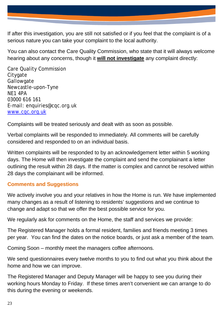If after this investigation, you are still not satisfied or if you feel that the complaint is of a serious nature you can take your complaint to the local authority.

You can also contact the Care Quality Commission, who state that it will always welcome hearing about any concerns, though it **will not investigate** any complaint directly:

Care Quality Commission **Citygate Gallowgate** Newcastle-upon-Tyne NE1 4PA 03000 616 161 E-mail: enquiries@cqc.org.uk [www.cqc.org.uk](http://www.cqc.org.uk/)

Complaints will be treated seriously and dealt with as soon as possible.

Verbal complaints will be responded to immediately. All comments will be carefully considered and responded to on an individual basis.

Written complaints will be responded to by an acknowledgement letter within 5 working days. The Home will then investigate the complaint and send the complainant a letter outlining the result within 28 days. If the matter is complex and cannot be resolved within 28 days the complainant will be informed.

## **Comments and Suggestions**

We actively involve you and your relatives in how the Home is run. We have implemented many changes as a result of listening to residents' suggestions and we continue to change and adapt so that we offer the best possible service for you.

We regularly ask for comments on the Home, the staff and services we provide:

The Registered Manager holds a formal resident, families and friends meeting 3 times per year. You can find the dates on the notice boards, or just ask a member of the team.

Coming Soon – monthly meet the managers coffee afternoons.

We send questionnaires every twelve months to you to find out what you think about the home and how we can improve.

The Registered Manager and Deputy Manager will be happy to see you during their working hours Monday to Friday. If these times aren't convenient we can arrange to do this during the evening or weekends.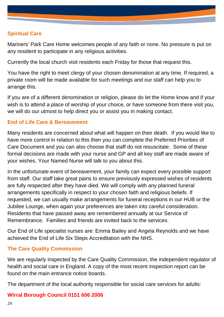# **Spiritual Care**

Mariners' Park Care Home welcomes people of any faith or none. No pressure is put on any resident to participate in any religious activities.

Currently the local church visit residents each Friday for those that request this.

You have the right to meet clergy of your chosen denomination at any time. If required, a private room will be made available for such meetings and our staff can help you to arrange this.

If you are of a different denomination or religion, please do let the Home know and if your wish is to attend a place of worship of your choice, or have someone from there visit you, we will do our utmost to help direct you or assist you in making contact.

# **End of Life Care & Bereavement**

Many residents are concerned about what will happen on their death. If you would like to have more control in relation to this then you can complete the Preferred Priorities of Care Document and you can also choose that staff do not resuscitate. Some of these formal decisions are made with your nurse and GP and all key staff are made aware of your wishes. Your Named Nurse will talk to you about this.

In the unfortunate event of bereavement, your family can expect every possible support from staff. Our staff take great pains to ensure previously expressed wishes of residents are fully respected after they have died. We will comply with any planned funeral arrangements specifically in respect to your chosen faith and religious beliefs. If requested, we can usually make arrangements for funeral receptions in our HUB or the Jubilee Lounge, when again your preferences are taken into careful consideration. Residents that have passed away are remembered annually at our Service of Remembrance. Families and friends are invited back to the services.

Our End of Life specialist nurses are: Emma Bailey and Angela Reynolds and we have achieved the End of Life Six Steps Accreditation with the NHS.

## **The Care Quality Commission**

We are regularly inspected by the Care Quality Commission, the independent regulator of health and social care in England. A copy of the most recent inspection report can be found on the main entrance notice boards.

The department of the local authority responsible for social care services for adults:

## **Wirral Borough Council 0151 606 2006**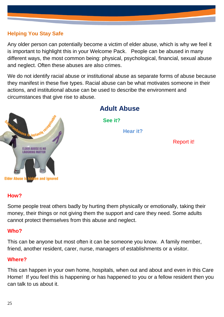# **Helping You Stay Safe**

Any older person can potentially become a victim of elder abuse, which is why we feel it is important to highlight this in your Welcome Pack. People can be abused in many different ways, the most common being: physical, psychological, financial, sexual abuse and neglect. Often these abuses are also crimes.

We do not identify racial abuse or institutional abuse as separate forms of abuse because they manifest in these five types. Racial abuse can be what motivates someone in their actions, and institutional abuse can be used to describe the environment and circumstances that give rise to abuse.



# **Adult Abuse**

**See it?**

 **Hear it?**

Report it!

#### **How?**

Some people treat others badly by hurting them physically or emotionally, taking their money, their things or not giving them the support and care they need. Some adults cannot protect themselves from this abuse and neglect.

#### **Who?**

This can be anyone but most often it can be someone you know. A family member, friend, another resident, carer, nurse, managers of establishments or a visitor.

#### **Where?**

This can happen in your own home, hospitals, when out and about and even in this Care Home! If you feel this is happening or has happened to you or a fellow resident then you can talk to us about it.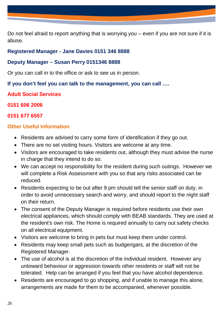Do not feel afraid to report anything that is worrying you – even if you are not sure if it is abuse.

# **Registered Manager - Jane Davies 0151 346 8888**

## **Deputy Manager – Susan Perry 0151346 8888**

Or you can call in to the office or ask to see us in person.

**If you don't feel you can talk to the management, you can call ….**

**Adult Social Services** 

**0151 606 2006**

## **0151 677 6557**

## **Other Useful Information**

- Residents are advised to carry some form of identification if they go out.
- There are no set visiting hours. Visitors are welcome at any time.
- Visitors are encouraged to take residents out, although they must advise the nurse in charge that they intend to do so.
- We can accept no responsibility for the resident during such outings. However we will complete a Risk Assessment with you so that any risks associated can be reduced.
- Residents expecting to be out after 9 pm should tell the senior staff on duty, in order to avoid unnecessary search and worry, and should report to the night staff on their return.
- The consent of the Deputy Manager is required before residents use their own electrical appliances, which should comply with BEAB standards. They are used at the resident's own risk. The Home is required annually to carry out safety checks on all electrical equipment.
- Visitors are welcome to bring in pets but must keep them under control.
- Residents may keep small pets such as budgerigars, at the discretion of the Registered Manager.
- The use of alcohol is at the discretion of the individual resident. However any untoward behaviour or aggression towards other residents or staff will not be tolerated. Help can be arranged if you feel that you have alcohol dependence.
- Residents are encouraged to go shopping, and if unable to manage this alone, arrangements are made for them to be accompanied, whenever possible.